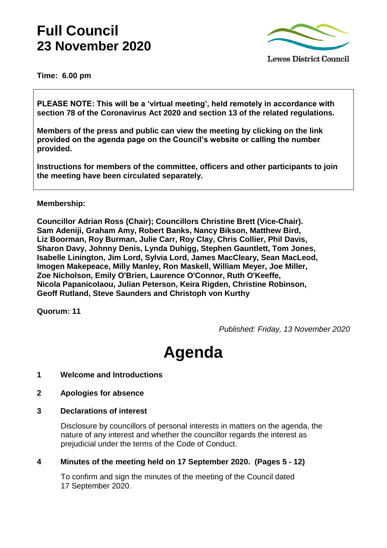# **Full Council 23 November 2020**



**Time: 6.00 pm**

**PLEASE NOTE: This will be a 'virtual meeting', held remotely in accordance with section 78 of the Coronavirus Act 2020 and section 13 of the related regulations.** 

**Members of the press and public can view the meeting by clicking on the link provided on the agenda page on the Council's website or calling the number provided.** 

**Instructions for members of the committee, officers and other participants to join the meeting have been circulated separately.**

#### **Membership:**

**Councillor Adrian Ross (Chair); Councillors Christine Brett (Vice-Chair). Sam Adeniji, Graham Amy, Robert Banks, Nancy Bikson, Matthew Bird, Liz Boorman, Roy Burman, Julie Carr, Roy Clay, Chris Collier, Phil Davis, Sharon Davy, Johnny Denis, Lynda Duhigg, Stephen Gauntlett, Tom Jones, Isabelle Linington, Jim Lord, Sylvia Lord, James MacCleary, Sean MacLeod, Imogen Makepeace, Milly Manley, Ron Maskell, William Meyer, Joe Miller, Zoe Nicholson, Emily O'Brien, Laurence O'Connor, Ruth O'Keeffe, Nicola Papanicolaou, Julian Peterson, Keira Rigden, Christine Robinson, Geoff Rutland, Steve Saunders and Christoph von Kurthy**

**Quorum: 11**

*Published: Friday, 13 November 2020*

# **Agenda**

- **1 Welcome and Introductions**
- **2 Apologies for absence**
- **3 Declarations of interest**

Disclosure by councillors of personal interests in matters on the agenda, the nature of any interest and whether the councillor regards the interest as prejudicial under the terms of the Code of Conduct.

**4 Minutes of the meeting held on 17 September 2020. (Pages 5 - 12)**

To confirm and sign the minutes of the meeting of the Council dated 17 September 2020.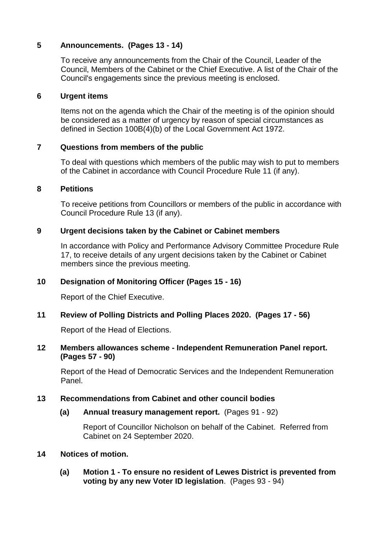#### **5 Announcements. (Pages 13 - 14)**

To receive any announcements from the Chair of the Council, Leader of the Council, Members of the Cabinet or the Chief Executive. A list of the Chair of the Council's engagements since the previous meeting is enclosed.

#### **6 Urgent items**

Items not on the agenda which the Chair of the meeting is of the opinion should be considered as a matter of urgency by reason of special circumstances as defined in Section 100B(4)(b) of the Local Government Act 1972.

#### **7 Questions from members of the public**

To deal with questions which members of the public may wish to put to members of the Cabinet in accordance with Council Procedure Rule 11 (if any).

#### **8 Petitions**

To receive petitions from Councillors or members of the public in accordance with Council Procedure Rule 13 (if any).

#### **9 Urgent decisions taken by the Cabinet or Cabinet members**

In accordance with Policy and Performance Advisory Committee Procedure Rule 17, to receive details of any urgent decisions taken by the Cabinet or Cabinet members since the previous meeting.

#### **10 Designation of Monitoring Officer (Pages 15 - 16)**

Report of the Chief Executive.

#### **11 Review of Polling Districts and Polling Places 2020. (Pages 17 - 56)**

Report of the Head of Elections.

#### **12 Members allowances scheme - Independent Remuneration Panel report. (Pages 57 - 90)**

Report of the Head of Democratic Services and the Independent Remuneration Panel.

#### **13 Recommendations from Cabinet and other council bodies**

#### **(a) Annual treasury management report.** (Pages 91 - 92)

Report of Councillor Nicholson on behalf of the Cabinet. Referred from Cabinet on 24 September 2020.

#### **14 Notices of motion.**

**(a) Motion 1 - To ensure no resident of Lewes District is prevented from voting by any new Voter ID legislation**. (Pages 93 - 94)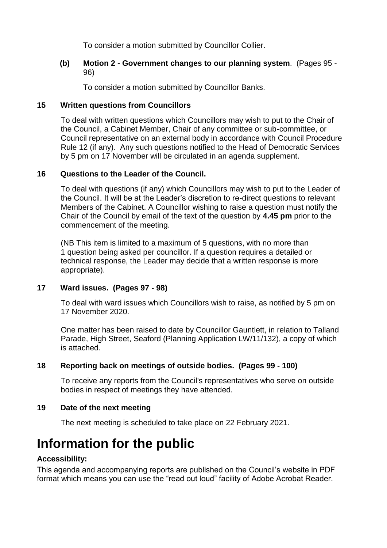To consider a motion submitted by Councillor Collier.

#### **(b) Motion 2 - Government changes to our planning system**. (Pages 95 - 96)

To consider a motion submitted by Councillor Banks.

#### **15 Written questions from Councillors**

To deal with written questions which Councillors may wish to put to the Chair of the Council, a Cabinet Member, Chair of any committee or sub-committee, or Council representative on an external body in accordance with Council Procedure Rule 12 (if any). Any such questions notified to the Head of Democratic Services by 5 pm on 17 November will be circulated in an agenda supplement.

#### **16 Questions to the Leader of the Council.**

To deal with questions (if any) which Councillors may wish to put to the Leader of the Council. It will be at the Leader's discretion to re-direct questions to relevant Members of the Cabinet. A Councillor wishing to raise a question must notify the Chair of the Council by email of the text of the question by **4.45 pm** prior to the commencement of the meeting.

(NB This item is limited to a maximum of 5 questions, with no more than 1 question being asked per councillor. If a question requires a detailed or technical response, the Leader may decide that a written response is more appropriate).

#### **17 Ward issues. (Pages 97 - 98)**

To deal with ward issues which Councillors wish to raise, as notified by 5 pm on 17 November 2020.

One matter has been raised to date by Councillor Gauntlett, in relation to Talland Parade, High Street, Seaford (Planning Application LW/11/132), a copy of which is attached.

#### **18 Reporting back on meetings of outside bodies. (Pages 99 - 100)**

To receive any reports from the Council's representatives who serve on outside bodies in respect of meetings they have attended.

#### **19 Date of the next meeting**

The next meeting is scheduled to take place on 22 February 2021.

## **Information for the public**

#### **Accessibility:**

This agenda and accompanying reports are published on the Council's website in PDF format which means you can use the "read out loud" facility of Adobe Acrobat Reader.